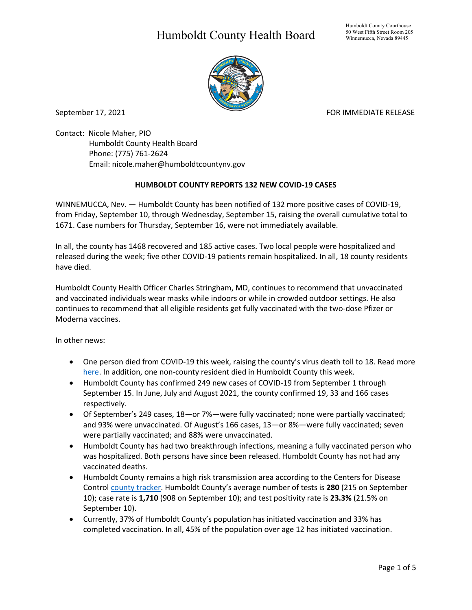## Humboldt County Health Board



September 17, 2021 **FOR IMMEDIATE RELEASE** 

Contact: Nicole Maher, PIO Humboldt County Health Board Phone: (775) 761-2624 Email: nicole.maher@humboldtcountynv.gov

## **HUMBOLDT COUNTY REPORTS 132 NEW COVID-19 CASES**

WINNEMUCCA, Nev. — Humboldt County has been notified of 132 more positive cases of COVID-19, from Friday, September 10, through Wednesday, September 15, raising the overall cumulative total to 1671. Case numbers for Thursday, September 16, were not immediately available.

In all, the county has 1468 recovered and 185 active cases. Two local people were hospitalized and released during the week; five other COVID-19 patients remain hospitalized. In all, 18 county residents have died.

Humboldt County Health Officer Charles Stringham, MD, continues to recommend that unvaccinated and vaccinated individuals wear masks while indoors or while in crowded outdoor settings. He also continues to recommend that all eligible residents get fully vaccinated with the two-dose Pfizer or Moderna vaccines.

In other news:

- One person died from COVID-19 this week, raising the county's virus death toll to 18. Read more [here.](http://documentcenter/View/5671/Humboldt-County-Confirms-18th-COVID19-Death) In addition, one non-county resident died in Humboldt County this week.
- Humboldt County has confirmed 249 new cases of COVID-19 from September 1 through September 15. In June, July and August 2021, the county confirmed 19, 33 and 166 cases respectively.
- Of September's 249 cases, 18—or 7%—were fully vaccinated; none were partially vaccinated; and 93% were unvaccinated. Of August's 166 cases, 13—or 8%—were fully vaccinated; seven were partially vaccinated; and 88% were unvaccinated.
- Humboldt County has had two breakthrough infections, meaning a fully vaccinated person who was hospitalized. Both persons have since been released. Humboldt County has not had any vaccinated deaths.
- Humboldt County remains a high risk transmission area according to the Centers for Disease Control [county tracker.](https://covid.cdc.gov/covid-data-tracker/#county-view) Humboldt County's average number of tests is **280** (215 on September 10); case rate is **1,710** (908 on September 10); and test positivity rate is **23.3%** (21.5% on September 10).
- Currently, 37% of Humboldt County's population has initiated vaccination and 33% has completed vaccination. In all, 45% of the population over age 12 has initiated vaccination.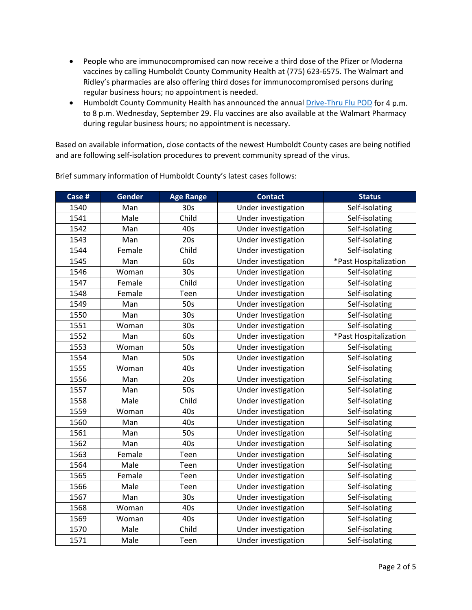- People who are immunocompromised can now receive a third dose of the Pfizer or Moderna vaccines by calling Humboldt County Community Health at (775) 623-6575. The Walmart and Ridley's pharmacies are also offering third doses for immunocompromised persons during regular business hours; no appointment is needed.
- Humboldt County Community Health has announced the annual [Drive-Thru Flu POD](https://www.humboldtcountynv.gov/DocumentCenter/View/5644/All-Humboldt-County-Residents-Encouraged-to-Participate-in-Drive-Thru-Flu-Shot-Clinic0821) for 4 p.m. to 8 p.m. Wednesday, September 29. Flu vaccines are also available at the Walmart Pharmacy during regular business hours; no appointment is necessary.

Based on available information, close contacts of the newest Humboldt County cases are being notified and are following self-isolation procedures to prevent community spread of the virus.

| Case # | <b>Gender</b> | <b>Age Range</b> | <b>Contact</b>      | <b>Status</b>         |
|--------|---------------|------------------|---------------------|-----------------------|
| 1540   | Man           | 30 <sub>s</sub>  | Under investigation | Self-isolating        |
| 1541   | Male          | Child            | Under investigation | Self-isolating        |
| 1542   | Man           | 40s              | Under investigation | Self-isolating        |
| 1543   | Man           | 20s              | Under investigation | Self-isolating        |
| 1544   | Female        | Child            | Under investigation | Self-isolating        |
| 1545   | Man           | 60s              | Under investigation | *Past Hospitalization |
| 1546   | Woman         | 30 <sub>s</sub>  | Under investigation | Self-isolating        |
| 1547   | Female        | Child            | Under investigation | Self-isolating        |
| 1548   | Female        | Teen             | Under investigation | Self-isolating        |
| 1549   | Man           | 50s              | Under investigation | Self-isolating        |
| 1550   | Man           | 30 <sub>s</sub>  | Under Investigation | Self-isolating        |
| 1551   | Woman         | 30 <sub>s</sub>  | Under investigation | Self-isolating        |
| 1552   | Man           | 60s              | Under investigation | *Past Hospitalization |
| 1553   | Woman         | 50s              | Under investigation | Self-isolating        |
| 1554   | Man           | 50s              | Under investigation | Self-isolating        |
| 1555   | Woman         | 40s              | Under investigation | Self-isolating        |
| 1556   | Man           | 20s              | Under investigation | Self-isolating        |
| 1557   | Man           | 50s              | Under investigation | Self-isolating        |
| 1558   | Male          | Child            | Under investigation | Self-isolating        |
| 1559   | Woman         | 40s              | Under investigation | Self-isolating        |
| 1560   | Man           | 40s              | Under investigation | Self-isolating        |
| 1561   | Man           | 50s              | Under investigation | Self-isolating        |
| 1562   | Man           | 40s              | Under investigation | Self-isolating        |
| 1563   | Female        | Teen             | Under investigation | Self-isolating        |
| 1564   | Male          | Teen             | Under investigation | Self-isolating        |
| 1565   | Female        | Teen             | Under investigation | Self-isolating        |
| 1566   | Male          | Teen             | Under investigation | Self-isolating        |
| 1567   | Man           | 30 <sub>s</sub>  | Under investigation | Self-isolating        |
| 1568   | Woman         | 40s              | Under investigation | Self-isolating        |
| 1569   | Woman         | 40s              | Under investigation | Self-isolating        |
| 1570   | Male          | Child            | Under investigation | Self-isolating        |
| 1571   | Male          | Teen             | Under investigation | Self-isolating        |

Brief summary information of Humboldt County's latest cases follows: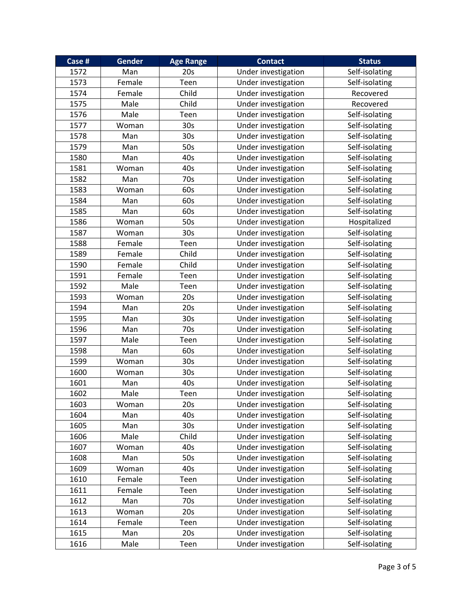| Case # | <b>Gender</b> | <b>Age Range</b> | <b>Contact</b>      | <b>Status</b>  |
|--------|---------------|------------------|---------------------|----------------|
| 1572   | Man           | 20s              | Under investigation | Self-isolating |
| 1573   | Female        | Teen             | Under investigation | Self-isolating |
| 1574   | Female        | Child            | Under investigation | Recovered      |
| 1575   | Male          | Child            | Under investigation | Recovered      |
| 1576   | Male          | Teen             | Under investigation | Self-isolating |
| 1577   | Woman         | 30 <sub>s</sub>  | Under investigation | Self-isolating |
| 1578   | Man           | 30 <sub>s</sub>  | Under investigation | Self-isolating |
| 1579   | Man           | 50s              | Under investigation | Self-isolating |
| 1580   | Man           | 40s              | Under investigation | Self-isolating |
| 1581   | Woman         | 40s              | Under investigation | Self-isolating |
| 1582   | Man           | 70s              | Under investigation | Self-isolating |
| 1583   | Woman         | 60s              | Under investigation | Self-isolating |
| 1584   | Man           | 60s              | Under investigation | Self-isolating |
| 1585   | Man           | 60s              | Under investigation | Self-isolating |
| 1586   | Woman         | 50s              | Under investigation | Hospitalized   |
| 1587   | Woman         | 30s              | Under investigation | Self-isolating |
| 1588   | Female        | Teen             | Under investigation | Self-isolating |
| 1589   | Female        | Child            | Under investigation | Self-isolating |
| 1590   | Female        | Child            | Under investigation | Self-isolating |
| 1591   | Female        | Teen             | Under investigation | Self-isolating |
| 1592   | Male          | Teen             | Under investigation | Self-isolating |
| 1593   | Woman         | 20s              | Under investigation | Self-isolating |
| 1594   | Man           | 20s              | Under investigation | Self-isolating |
| 1595   | Man           | 30 <sub>s</sub>  | Under investigation | Self-isolating |
| 1596   | Man           | 70s              | Under investigation | Self-isolating |
| 1597   | Male          | Teen             | Under investigation | Self-isolating |
| 1598   | Man           | 60s              | Under investigation | Self-isolating |
| 1599   | Woman         | 30 <sub>s</sub>  | Under investigation | Self-isolating |
| 1600   | Woman         | 30 <sub>s</sub>  | Under investigation | Self-isolating |
| 1601   | Man           | 40s              | Under investigation | Self-isolating |
| 1602   | Male          | Teen             | Under investigation | Self-isolating |
| 1603   | Woman         | 20s              | Under investigation | Self-isolating |
| 1604   | Man           | 40s              | Under investigation | Self-isolating |
| 1605   | Man           | 30 <sub>s</sub>  | Under investigation | Self-isolating |
| 1606   | Male          | Child            | Under investigation | Self-isolating |
| 1607   | Woman         | 40s              | Under investigation | Self-isolating |
| 1608   | Man           | 50s              | Under investigation | Self-isolating |
| 1609   | Woman         | 40s              | Under investigation | Self-isolating |
| 1610   | Female        | Teen             | Under investigation | Self-isolating |
| 1611   | Female        | Teen             | Under investigation | Self-isolating |
| 1612   | Man           | 70s              | Under investigation | Self-isolating |
| 1613   | Woman         | 20s              | Under investigation | Self-isolating |
| 1614   | Female        | Teen             | Under investigation | Self-isolating |
| 1615   | Man           | 20s              | Under investigation | Self-isolating |
| 1616   | Male          | Teen             | Under investigation | Self-isolating |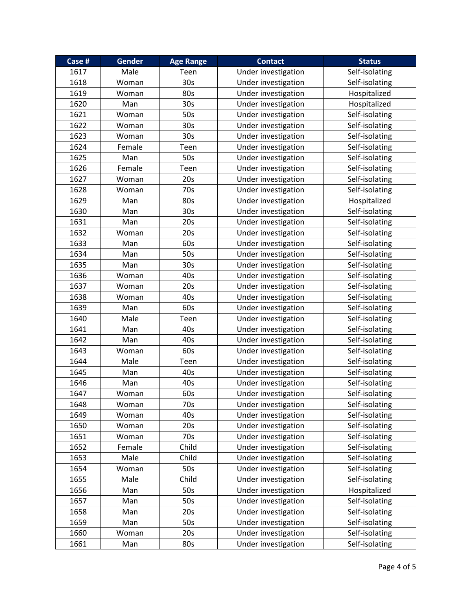| Case # | <b>Gender</b> | <b>Age Range</b> | <b>Contact</b>      | <b>Status</b>  |
|--------|---------------|------------------|---------------------|----------------|
| 1617   | Male          | Teen             | Under investigation | Self-isolating |
| 1618   | Woman         | 30 <sub>s</sub>  | Under investigation | Self-isolating |
| 1619   | Woman         | 80s              | Under investigation | Hospitalized   |
| 1620   | Man           | 30 <sub>s</sub>  | Under investigation | Hospitalized   |
| 1621   | Woman         | 50s              | Under investigation | Self-isolating |
| 1622   | Woman         | 30 <sub>s</sub>  | Under investigation | Self-isolating |
| 1623   | Woman         | 30 <sub>s</sub>  | Under investigation | Self-isolating |
| 1624   | Female        | Teen             | Under investigation | Self-isolating |
| 1625   | Man           | 50s              | Under investigation | Self-isolating |
| 1626   | Female        | Teen             | Under investigation | Self-isolating |
| 1627   | Woman         | 20s              | Under investigation | Self-isolating |
| 1628   | Woman         | 70s              | Under investigation | Self-isolating |
| 1629   | Man           | 80s              | Under investigation | Hospitalized   |
| 1630   | Man           | 30 <sub>s</sub>  | Under investigation | Self-isolating |
| 1631   | Man           | 20s              | Under investigation | Self-isolating |
| 1632   | Woman         | 20s              | Under investigation | Self-isolating |
| 1633   | Man           | 60s              | Under investigation | Self-isolating |
| 1634   | Man           | 50s              | Under investigation | Self-isolating |
| 1635   | Man           | 30 <sub>s</sub>  | Under investigation | Self-isolating |
| 1636   | Woman         | 40s              | Under investigation | Self-isolating |
| 1637   | Woman         | 20s              | Under investigation | Self-isolating |
| 1638   | Woman         | 40s              | Under investigation | Self-isolating |
| 1639   | Man           | 60s              | Under investigation | Self-isolating |
| 1640   | Male          | Teen             | Under investigation | Self-isolating |
| 1641   | Man           | 40s              | Under investigation | Self-isolating |
| 1642   | Man           | 40s              | Under investigation | Self-isolating |
| 1643   | Woman         | 60s              | Under investigation | Self-isolating |
| 1644   | Male          | Teen             | Under investigation | Self-isolating |
| 1645   | Man           | 40s              | Under investigation | Self-isolating |
| 1646   | Man           | 40s              | Under investigation | Self-isolating |
| 1647   | Woman         | 60s              | Under investigation | Self-isolating |
| 1648   | Woman         | 70s              | Under investigation | Self-isolating |
| 1649   | Woman         | 40s              | Under investigation | Self-isolating |
| 1650   | Woman         | 20s              | Under investigation | Self-isolating |
| 1651   | Woman         | 70s              | Under investigation | Self-isolating |
| 1652   | Female        | Child            | Under investigation | Self-isolating |
| 1653   | Male          | Child            | Under investigation | Self-isolating |
| 1654   | Woman         | 50s              | Under investigation | Self-isolating |
| 1655   | Male          | Child            | Under investigation | Self-isolating |
| 1656   | Man           | 50s              | Under investigation | Hospitalized   |
| 1657   | Man           | 50s              | Under investigation | Self-isolating |
| 1658   | Man           | 20s              | Under investigation | Self-isolating |
| 1659   | Man           | 50s              | Under investigation | Self-isolating |
| 1660   | Woman         | 20s              | Under investigation | Self-isolating |
| 1661   | Man           | 80s              | Under investigation | Self-isolating |